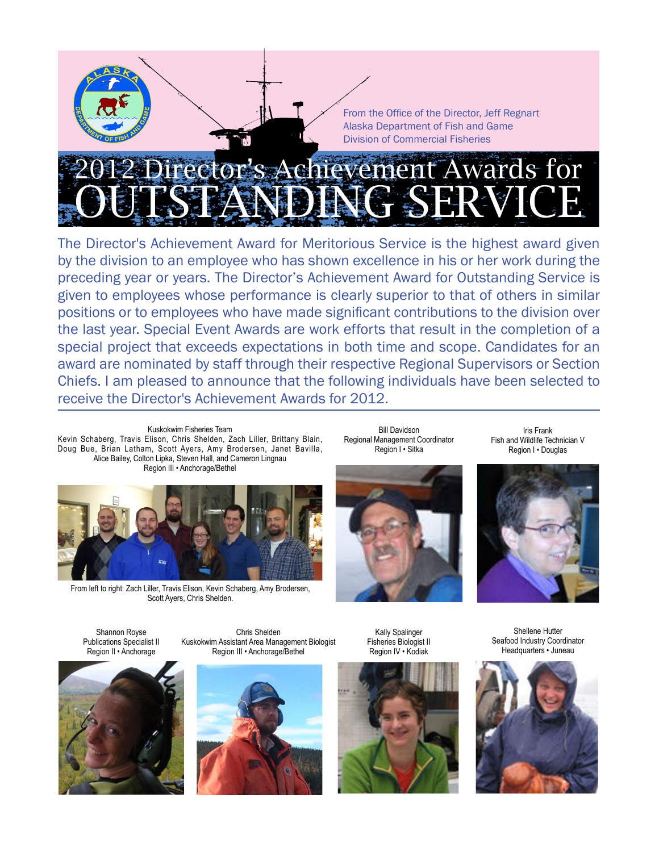From the Office of the Director, Jeff Regnart Alaska Department of Fish and Game Division of Commercial Fisheries

# Achievement Awards for OUTSTANDING SERVICE

The Director's Achievement Award for Meritorious Service is the highest award given by the division to an employee who has shown excellence in his or her work during the preceding year or years. The Director's Achievement Award for Outstanding Service is given to employees whose performance is clearly superior to that of others in similar positions or to employees who have made significant contributions to the division over the last year. Special Event Awards are work efforts that result in the completion of a special project that exceeds expectations in both time and scope. Candidates for an award are nominated by staff through their respective Regional Supervisors or Section Chiefs. I am pleased to announce that the following individuals have been selected to receive the Director's Achievement Awards for 2012.

Kuskokwim Fisheries Team Kevin Schaberg, Travis Elison, Chris Shelden, Zach Liller, Brittany Blain, Doug Bue, Brian Latham, Scott Ayers, Amy Brodersen, Janet Bavilla, Alice Bailey, Colton Lipka, Steven Hall, and Cameron Lingnau Region III • Anchorage/Bethel



From left to right: Zach Liller, Travis Elison, Kevin Schaberg, Amy Brodersen, Scott Ayers, Chris Shelden.

Bill Davidson Regional Management Coordinator Region I • Sitka







Shannon Royse Publications Specialist II Region II • Anchorage







Kally Spalinger Fisheries Biologist II Region IV • Kodiak



Shellene Hutter Seafood Industry Coordinator Headquarters • Juneau

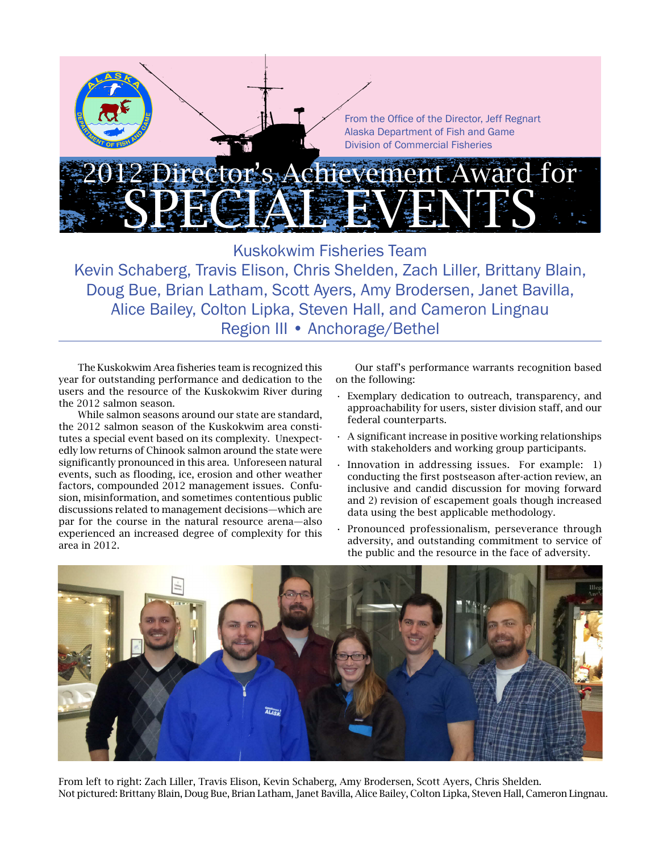

Kuskokwim Fisheries Team Kevin Schaberg, Travis Elison, Chris Shelden, Zach Liller, Brittany Blain, Doug Bue, Brian Latham, Scott Ayers, Amy Brodersen, Janet Bavilla, Alice Bailey, Colton Lipka, Steven Hall, and Cameron Lingnau Region III • Anchorage/Bethel

The Kuskokwim Area fisheries team is recognized this year for outstanding performance and dedication to the users and the resource of the Kuskokwim River during the 2012 salmon season.

While salmon seasons around our state are standard, the 2012 salmon season of the Kuskokwim area constitutes a special event based on its complexity. Unexpectedly low returns of Chinook salmon around the state were significantly pronounced in this area. Unforeseen natural events, such as flooding, ice, erosion and other weather factors, compounded 2012 management issues. Confusion, misinformation, and sometimes contentious public discussions related to management decisions—which are par for the course in the natural resource arena—also experienced an increased degree of complexity for this area in 2012.

Our staff's performance warrants recognition based on the following:

- Exemplary dedication to outreach, transparency, and approachability for users, sister division staff, and our federal counterparts.
- $\cdot$  A significant increase in positive working relationships with stakeholders and working group participants.
- Innovation in addressing issues. For example:  $1)$ conducting the first postseason after-action review, an inclusive and candid discussion for moving forward and 2) revision of escapement goals though increased data using the best applicable methodology.
- Pronounced professionalism, perseverance through adversity, and outstanding commitment to service of the public and the resource in the face of adversity.



From left to right: Zach Liller, Travis Elison, Kevin Schaberg, Amy Brodersen, Scott Ayers, Chris Shelden. Not pictured: Brittany Blain, Doug Bue, Brian Latham, Janet Bavilla, Alice Bailey, Colton Lipka, Steven Hall, Cameron Lingnau.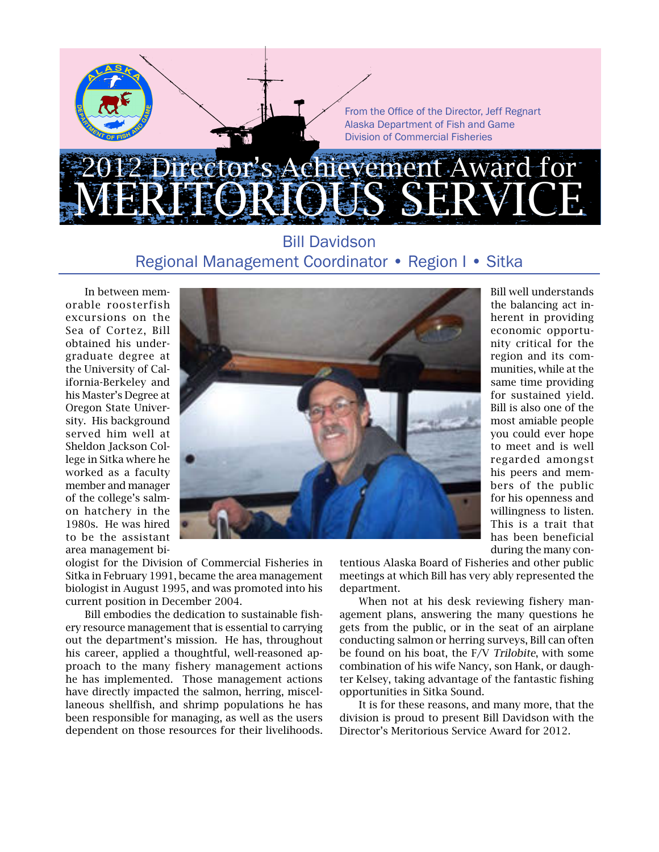

## Bill Davidson Regional Management Coordinator • Region I • Sitka

In between memorable roosterfish excursions on the Sea of Cortez, Bill obtained his undergraduate degree at the University of California-Berkeley and his Master's Degree at Oregon State University. His background served him well at Sheldon Jackson College in Sitka where he worked as a faculty member and manager of the college's salmon hatchery in the 1980s. He was hired to be the assistant area management bi-



Bill well understands the balancing act inherent in providing economic opportunity critical for the region and its communities, while at the same time providing for sustained yield. Bill is also one of the most amiable people you could ever hope to meet and is well regarded amongst his peers and members of the public for his openness and willingness to listen. This is a trait that has been beneficial during the many con-

ologist for the Division of Commercial Fisheries in Sitka in February 1991, became the area management biologist in August 1995, and was promoted into his current position in December 2004.

Bill embodies the dedication to sustainable fishery resource management that is essential to carrying out the department's mission. He has, throughout his career, applied a thoughtful, well-reasoned approach to the many fishery management actions he has implemented. Those management actions have directly impacted the salmon, herring, miscellaneous shellfish, and shrimp populations he has been responsible for managing, as well as the users dependent on those resources for their livelihoods. tentious Alaska Board of Fisheries and other public meetings at which Bill has very ably represented the department.

When not at his desk reviewing fishery management plans, answering the many questions he gets from the public, or in the seat of an airplane conducting salmon or herring surveys, Bill can often be found on his boat, the F/V Trilobite, with some combination of his wife Nancy, son Hank, or daughter Kelsey, taking advantage of the fantastic fishing opportunities in Sitka Sound.

It is for these reasons, and many more, that the division is proud to present Bill Davidson with the Director's Meritorious Service Award for 2012.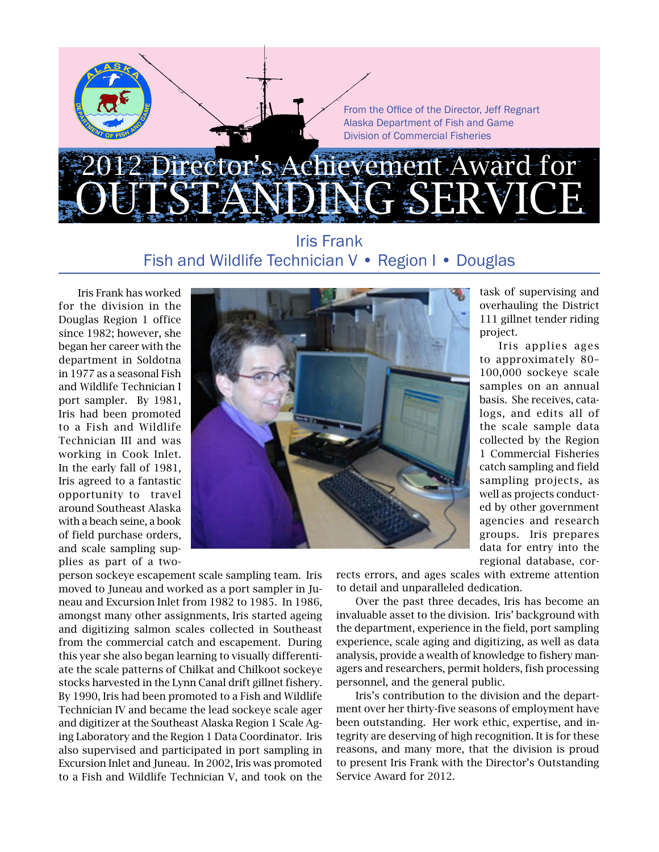

### Iris Frank Fish and Wildlife Technician V • Region I • Douglas

Iris Frank has worked for the division in the Douglas Region 1 office since 1982; however, she began her career with the department in Soldotna in 1977 as a seasonal Fish and Wildlife Technician I port sampler. By 1981, Iris had been promoted to a Fish and Wildlife Technician III and was working in Cook Inlet. In the early fall of 1981, Iris agreed to a fantastic opportunity to travel around Southeast Alaska with a beach seine, a book of field purchase orders, and scale sampling supplies as part of a two-



task of supervising and overhauling the District 111 gillnet tender riding project.

Iris applies ages to approximately 80– 100,000 sockeye scale samples on an annual basis. She receives, catalogs, and edits all of the scale sample data collected by the Region 1 Commercial Fisheries catch sampling and field sampling projects, as well as projects conducted by other government agencies and research groups. Iris prepares data for entry into the regional database, cor-

person sockeye escapement scale sampling team. Iris moved to Juneau and worked as a port sampler in Juneau and Excursion Inlet from 1982 to 1985. In 1986, amongst many other assignments, Iris started ageing and digitizing salmon scales collected in Southeast from the commercial catch and escapement. During this year she also began learning to visually differentiate the scale patterns of Chilkat and Chilkoot sockeye stocks harvested in the Lynn Canal drift gillnet fishery. By 1990, Iris had been promoted to a Fish and Wildlife Technician IV and became the lead sockeye scale ager and digitizer at the Southeast Alaska Region 1 Scale Aging Laboratory and the Region 1 Data Coordinator. Iris also supervised and participated in port sampling in Excursion Inlet and Juneau. In 2002, Iris was promoted to a Fish and Wildlife Technician V, and took on the rects errors, and ages scales with extreme attention to detail and unparalleled dedication.

Over the past three decades, Iris has become an invaluable asset to the division. Iris' background with the department, experience in the field, port sampling experience, scale aging and digitizing, as well as data analysis, provide a wealth of knowledge to fishery managers and researchers, permit holders, fish processing personnel, and the general public.

Iris's contribution to the division and the department over her thirty-five seasons of employment have been outstanding. Her work ethic, expertise, and integrity are deserving of high recognition. It is for these reasons, and many more, that the division is proud to present Iris Frank with the Director's Outstanding Service Award for 2012.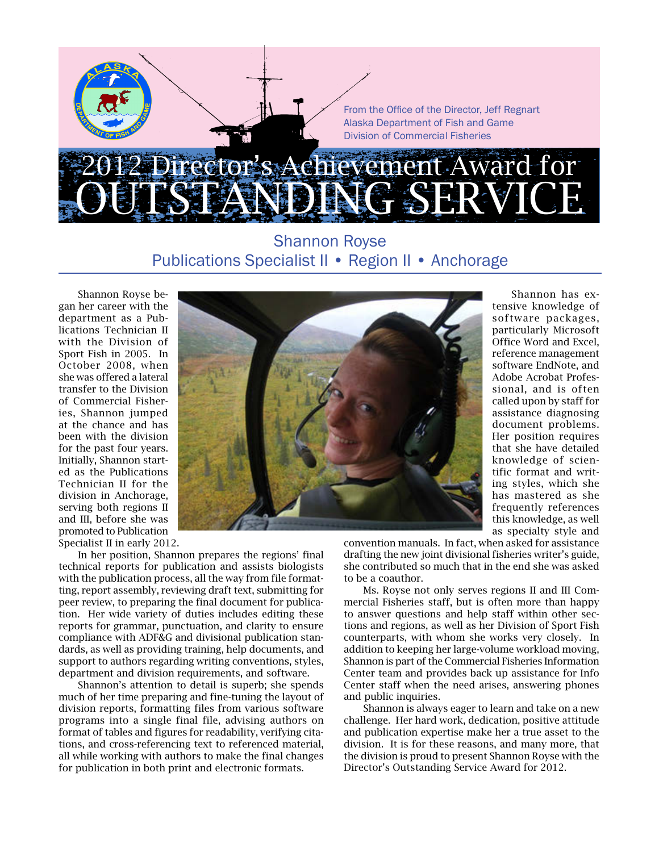

## Shannon Royse Publications Specialist II • Region II • Anchorage

Shannon Royse began her career with the department as a Publications Technician II with the Division of Sport Fish in 2005. In October 2008, when she was offered a lateral transfer to the Division of Commercial Fisheries, Shannon jumped at the chance and has been with the division for the past four years. Initially, Shannon started as the Publications Technician II for the division in Anchorage, serving both regions II and III, before she was promoted to Publication Specialist II in early 2012.



Shannon has extensive knowledge of software packages, particularly Microsoft Office Word and Excel, reference management software EndNote, and Adobe Acrobat Professional, and is often called upon by staff for assistance diagnosing document problems. Her position requires that she have detailed knowledge of scientific format and writing styles, which she has mastered as she frequently references this knowledge, as well as specialty style and

In her position, Shannon prepares the regions' final technical reports for publication and assists biologists with the publication process, all the way from file formatting, report assembly, reviewing draft text, submitting for peer review, to preparing the final document for publication. Her wide variety of duties includes editing these reports for grammar, punctuation, and clarity to ensure compliance with ADF&G and divisional publication standards, as well as providing training, help documents, and support to authors regarding writing conventions, styles, department and division requirements, and software.

Shannon's attention to detail is superb; she spends much of her time preparing and fine-tuning the layout of division reports, formatting files from various software programs into a single final file, advising authors on format of tables and figures for readability, verifying citations, and cross-referencing text to referenced material, all while working with authors to make the final changes for publication in both print and electronic formats.

convention manuals. In fact, when asked for assistance drafting the new joint divisional fisheries writer's guide, she contributed so much that in the end she was asked to be a coauthor.

Ms. Royse not only serves regions II and III Commercial Fisheries staff, but is often more than happy to answer questions and help staff within other sections and regions, as well as her Division of Sport Fish counterparts, with whom she works very closely. In addition to keeping her large-volume workload moving, Shannon is part of the Commercial Fisheries Information Center team and provides back up assistance for Info Center staff when the need arises, answering phones and public inquiries.

Shannon is always eager to learn and take on a new challenge. Her hard work, dedication, positive attitude and publication expertise make her a true asset to the division. It is for these reasons, and many more, that the division is proud to present Shannon Royse with the Director's Outstanding Service Award for 2012.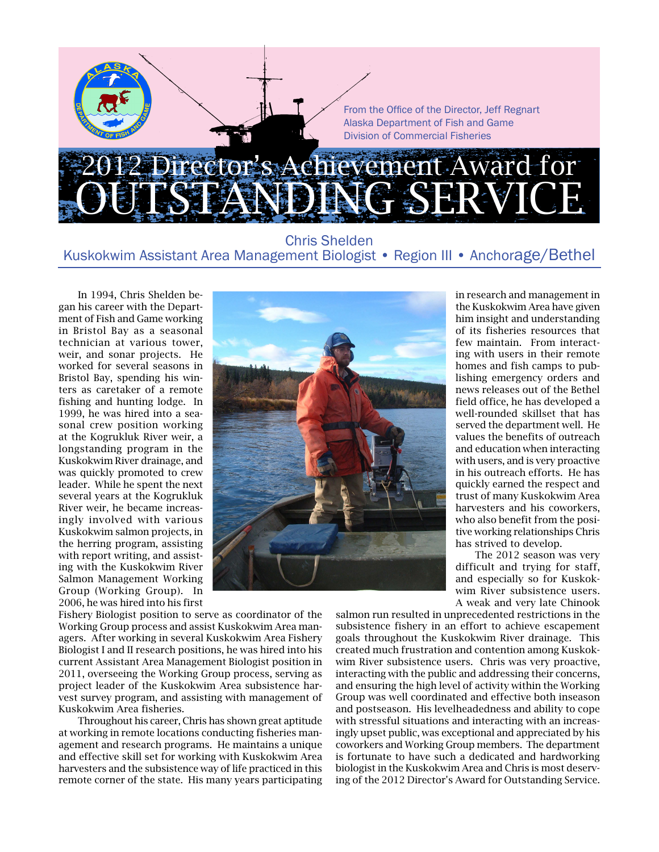

#### Chris Shelden Kuskokwim Assistant Area Management Biologist • Region III • Anchorage/Bethel

In 1994, Chris Shelden began his career with the Department of Fish and Game working in Bristol Bay as a seasonal technician at various tower, weir, and sonar projects. He worked for several seasons in Bristol Bay, spending his winters as caretaker of a remote fishing and hunting lodge. In 1999, he was hired into a seasonal crew position working at the Kogrukluk River weir, a longstanding program in the Kuskokwim River drainage, and was quickly promoted to crew leader. While he spent the next several years at the Kogrukluk River weir, he became increasingly involved with various Kuskokwim salmon projects, in the herring program, assisting with report writing, and assisting with the Kuskokwim River Salmon Management Working Group (Working Group). In 2006, he was hired into his first



Fishery Biologist position to serve as coordinator of the Working Group process and assist Kuskokwim Area managers. After working in several Kuskokwim Area Fishery Biologist I and II research positions, he was hired into his current Assistant Area Management Biologist position in 2011, overseeing the Working Group process, serving as project leader of the Kuskokwim Area subsistence harvest survey program, and assisting with management of Kuskokwim Area fisheries.

Throughout his career, Chris has shown great aptitude at working in remote locations conducting fisheries management and research programs. He maintains a unique and effective skill set for working with Kuskokwim Area harvesters and the subsistence way of life practiced in this remote corner of the state. His many years participating

in research and management in the Kuskokwim Area have given him insight and understanding of its fisheries resources that few maintain. From interacting with users in their remote homes and fish camps to publishing emergency orders and news releases out of the Bethel field office, he has developed a well-rounded skillset that has served the department well. He values the benefits of outreach and education when interacting with users, and is very proactive in his outreach efforts. He has quickly earned the respect and trust of many Kuskokwim Area harvesters and his coworkers, who also benefit from the positive working relationships Chris has strived to develop.

The 2012 season was very difficult and trying for staff, and especially so for Kuskokwim River subsistence users. A weak and very late Chinook

salmon run resulted in unprecedented restrictions in the subsistence fishery in an effort to achieve escapement goals throughout the Kuskokwim River drainage. This created much frustration and contention among Kuskokwim River subsistence users. Chris was very proactive, interacting with the public and addressing their concerns, and ensuring the high level of activity within the Working Group was well coordinated and effective both inseason and postseason. His levelheadedness and ability to cope with stressful situations and interacting with an increasingly upset public, was exceptional and appreciated by his coworkers and Working Group members. The department is fortunate to have such a dedicated and hardworking biologist in the Kuskokwim Area and Chris is most deserving of the 2012 Director's Award for Outstanding Service.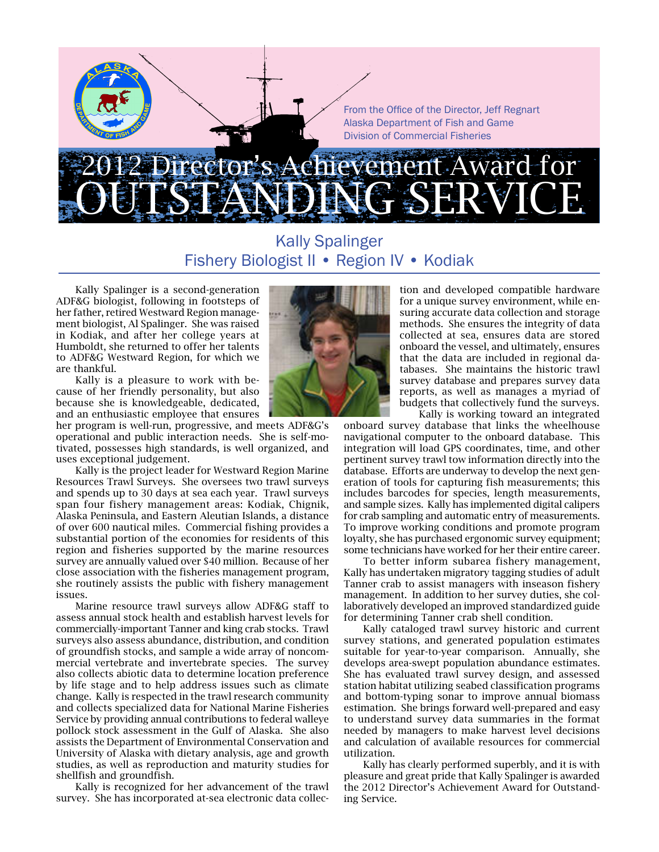From the Office of the Director, Jeff Regnart Alaska Department of Fish and Game Division of Commercial Fisheries

# rector's Achievement Award for OUTSTANDING SERVICE

## Kally Spalinger Fishery Biologist II • Region IV • Kodiak

Kally Spalinger is a second-generation ADF&G biologist, following in footsteps of her father, retired Westward Region management biologist, Al Spalinger. She was raised in Kodiak, and after her college years at Humboldt, she returned to offer her talents to ADF&G Westward Region, for which we are thankful.

Kally is a pleasure to work with because of her friendly personality, but also because she is knowledgeable, dedicated, and an enthusiastic employee that ensures

her program is well-run, progressive, and meets ADF&G's operational and public interaction needs. She is self-motivated, possesses high standards, is well organized, and uses exceptional judgement.

Kally is the project leader for Westward Region Marine Resources Trawl Surveys. She oversees two trawl surveys and spends up to 30 days at sea each year. Trawl surveys span four fishery management areas: Kodiak, Chignik, Alaska Peninsula, and Eastern Aleutian Islands, a distance of over 600 nautical miles. Commercial fishing provides a substantial portion of the economies for residents of this region and fisheries supported by the marine resources survey are annually valued over \$40 million. Because of her close association with the fisheries management program, she routinely assists the public with fishery management issues.

Marine resource trawl surveys allow ADF&G staff to assess annual stock health and establish harvest levels for commercially-important Tanner and king crab stocks. Trawl surveys also assess abundance, distribution, and condition of groundfish stocks, and sample a wide array of noncommercial vertebrate and invertebrate species. The survey also collects abiotic data to determine location preference by life stage and to help address issues such as climate change. Kally is respected in the trawl research community and collects specialized data for National Marine Fisheries Service by providing annual contributions to federal walleye pollock stock assessment in the Gulf of Alaska. She also assists the Department of Environmental Conservation and University of Alaska with dietary analysis, age and growth studies, as well as reproduction and maturity studies for shellfish and groundfish.

Kally is recognized for her advancement of the trawl survey. She has incorporated at-sea electronic data collec-



tion and developed compatible hardware for a unique survey environment, while ensuring accurate data collection and storage methods. She ensures the integrity of data collected at sea, ensures data are stored onboard the vessel, and ultimately, ensures that the data are included in regional databases. She maintains the historic trawl survey database and prepares survey data reports, as well as manages a myriad of budgets that collectively fund the surveys. Kally is working toward an integrated

onboard survey database that links the wheelhouse navigational computer to the onboard database. This integration will load GPS coordinates, time, and other pertinent survey trawl tow information directly into the database. Efforts are underway to develop the next generation of tools for capturing fish measurements; this includes barcodes for species, length measurements, and sample sizes. Kally has implemented digital calipers for crab sampling and automatic entry of measurements. To improve working conditions and promote program loyalty, she has purchased ergonomic survey equipment; some technicians have worked for her their entire career.

To better inform subarea fishery management, Kally has undertaken migratory tagging studies of adult Tanner crab to assist managers with inseason fishery management. In addition to her survey duties, she collaboratively developed an improved standardized guide for determining Tanner crab shell condition.

Kally cataloged trawl survey historic and current survey stations, and generated population estimates suitable for year-to-year comparison. Annually, she develops area-swept population abundance estimates. She has evaluated trawl survey design, and assessed station habitat utilizing seabed classification programs and bottom-typing sonar to improve annual biomass estimation. She brings forward well-prepared and easy to understand survey data summaries in the format needed by managers to make harvest level decisions and calculation of available resources for commercial utilization.

Kally has clearly performed superbly, and it is with pleasure and great pride that Kally Spalinger is awarded the 2012 Director's Achievement Award for Outstanding Service.